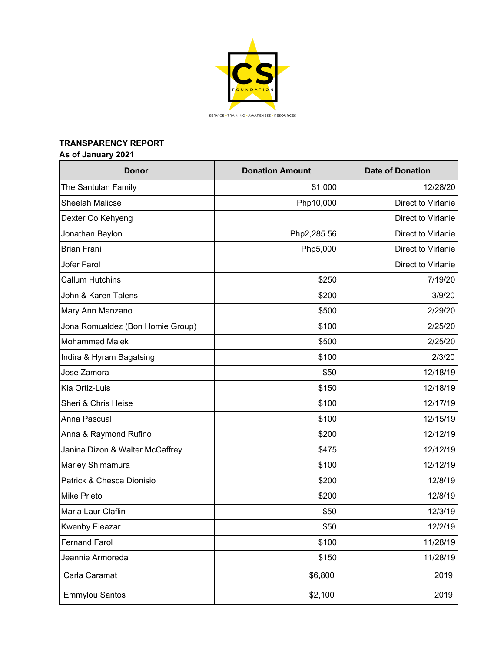

## **TRANSPARENCY REPORT**

# **As of January 2021**

| <b>Donor</b>                     | <b>Donation Amount</b> | <b>Date of Donation</b> |
|----------------------------------|------------------------|-------------------------|
| The Santulan Family              | \$1,000                | 12/28/20                |
| <b>Sheelah Malicse</b>           | Php10,000              | Direct to Virlanie      |
| Dexter Co Kehyeng                |                        | Direct to Virlanie      |
| Jonathan Baylon                  | Php2,285.56            | Direct to Virlanie      |
| <b>Brian Frani</b>               | Php5,000               | Direct to Virlanie      |
| Jofer Farol                      |                        | Direct to Virlanie      |
| <b>Callum Hutchins</b>           | \$250                  | 7/19/20                 |
| John & Karen Talens              | \$200                  | 3/9/20                  |
| Mary Ann Manzano                 | \$500                  | 2/29/20                 |
| Jona Romualdez (Bon Homie Group) | \$100                  | 2/25/20                 |
| <b>Mohammed Malek</b>            | \$500                  | 2/25/20                 |
| Indira & Hyram Bagatsing         | \$100                  | 2/3/20                  |
| Jose Zamora                      | \$50                   | 12/18/19                |
| Kia Ortiz-Luis                   | \$150                  | 12/18/19                |
| Sheri & Chris Heise              | \$100                  | 12/17/19                |
| Anna Pascual                     | \$100                  | 12/15/19                |
| Anna & Raymond Rufino            | \$200                  | 12/12/19                |
| Janina Dizon & Walter McCaffrey  | \$475                  | 12/12/19                |
| Marley Shimamura                 | \$100                  | 12/12/19                |
| Patrick & Chesca Dionisio        | \$200                  | 12/8/19                 |
| <b>Mike Prieto</b>               | \$200                  | 12/8/19                 |
| Maria Laur Claflin               | \$50                   | 12/3/19                 |
| <b>Kwenby Eleazar</b>            | \$50                   | 12/2/19                 |
| <b>Fernand Farol</b>             | \$100                  | 11/28/19                |
| Jeannie Armoreda                 | \$150                  | 11/28/19                |
| Carla Caramat                    | \$6,800                | 2019                    |
| Emmylou Santos                   | \$2,100                | 2019                    |